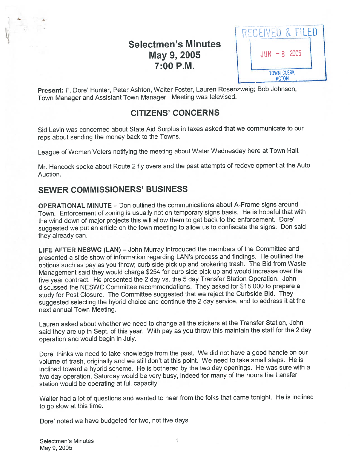# Selectmen's Minutes **May 9, 2005**  $\vert$  JUN -8 2005 7:00 P.M.

RECEIVED & FILED **TOWN CLERK** ACTON

Present: F. Dore' Hunter, Peter Ashton, Walter Foster, Lauren Rosenzweig; Bob Johnson, Town Manager and Assistant Town Manager. Meeting was televised.

## CITIZENS' CONCERNS

Sid Levin was concerned about State Aid Surplus in taxes asked that we communicate to our reps about sending the money back to the Towns.

League of Women Voters notifying the meeting about Water Wednesday here at Town Hall.

Mr. Hancock spoke about Route <sup>2</sup> fly overs and the pas<sup>t</sup> attempts of redevelopment at the Auto Auction.

## SEWER COMMISSIONERS' BUSINESS

V..

OPERATIONAL MINUTE — Don outlined the communications about A-Frame signs around Town. Enforcement of zoning is usually not on temporary signs basis. He is hopeful that with the wind down of major projects this will allow them to ge<sup>t</sup> back to the enforcement. Dote' suggested we pu<sup>t</sup> an article on the town meeting to allow us to confiscate the signs. Don said they already can.

LIFE AFTER NESWC (LAN) — John Murray introduced the members of the Committee and presented <sup>a</sup> slide show of information regarding LAN's process and findings. He outlined the options such as pay as you throw; curb side <sup>p</sup>ick up and brokering trash. The Bid from Waste Management said they would charge \$254 for curb side <sup>p</sup>ick up and would increase over the five year contract. He presented the <sup>2</sup> day vs. the <sup>5</sup> day Transfer Station Operation. John discussed the NESWC Committee recommendations. They asked for \$18,000 to prepare <sup>a</sup> study for Post Closure. The Committee suggested that we reject the Curbside Bid. They suggested selecting the hybrid choice and continue the <sup>2</sup> day service, and to address it at the next annual Town Meeting.

Lauren asked about whether we need to change all the stickers at the Transfer Station, John said they are up in Sept. of this year. With pay as you throw this maintain the staff for the <sup>2</sup> day operation and would begin in July.

Dote' thinks we need to take knowledge from the past. We did not have <sup>a</sup> goo<sup>d</sup> handle on our volume of trash, originally and we still don't at this point. We need to take small steps. He is inclined toward <sup>a</sup> hybrid scheme. He is bothered by the two day openings. He was sure with <sup>a</sup> two day operation, Saturday would be very busy, indeed for many of the hours the transfer station would be operating at full capacity.

Walter had <sup>a</sup> lot of questions and wanted to hear from the folks that came tonight. He is inclined to go slow at this time.

Dore' noted we have budgeted for two, not five days.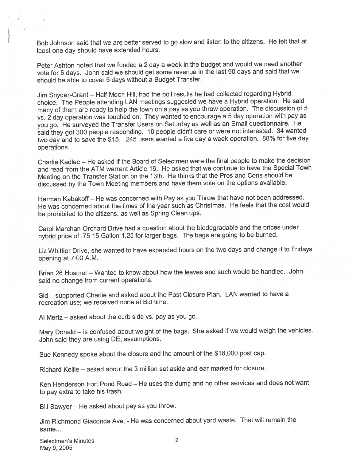Bob Johnson said that we are better served to go slow and listen to the citizens. He felt that at least one day should have extended hours.

Peter Ashton noted that we funded <sup>a</sup> <sup>2</sup> day <sup>a</sup> week in the budget and would we need another vote for <sup>5</sup> days. John said we should ge<sup>t</sup> some revenue in the last <sup>90</sup> days and said that we should be able to cover <sup>5</sup> days without <sup>a</sup> Budget Transfer.

Jim Snyder-Grant — Half Moon Hill, had the poll results he had collected regarding Hybrid choice. The People attending LAN meetings suggested we have <sup>a</sup> Hybrid operation. He said many of them are ready to help the town on <sup>a</sup> pay as you throw operation. The discussion of <sup>5</sup> vs. <sup>2</sup> day operation was touched on. They wanted to encourage <sup>a</sup> <sup>5</sup> day operation with pay as you go. He surveye<sup>d</sup> the Transfer Users on Saturday as well as an Email questionnaire. He said they go<sup>t</sup> <sup>300</sup> people responding. <sup>10</sup> people didn't care or were not interested. <sup>34</sup> wanted two day and to save the \$15. <sup>245</sup> users wanted <sup>a</sup> five day <sup>a</sup> week operation. 88% for five day operations.

Charlie Kadlec — He asked if the Board of Selectmen were the final people to make the decision and read from the ATM warrant Article 16. He asked that we continue to haye the Special Town Meeting on the Transfer Station on the 13th. He thinks that the Pros and Cons should be discussed by the Town Meeting members and have them vote on the options available.

Herman Kabakoff— He was concerned with Pay as you Throw that have not been addressed. He was concerned about the times of the year such as Christmas. He feels that the cost would be prohibited to the citizens, as well as Spring Clean ups.

Carol Marchan Orchard Drive had <sup>a</sup> question about the biodegradable and the prices under hybrid price of .75 <sup>15</sup> Gallon 1.25 for larger bags. The bags are going to be burned.

Liz Whittier Drive, she wanted to have expanded hours on the two days and change it to Fridays opening at 7:00 A.M.

Brian 26 Hosmer — Wanted to know about how the leaves and such would be handled. John said no change from current operations.

Sid supported Charlie and asked about the Post Closure Plan. LAN wanted to have <sup>a</sup> recreation use; we received none at Bid time.

Al Mertz — asked about the curb side vs. pay as you go.

Mary Donald — is confused about weight of the bags. She asked if we would weigh the vehicles. John said they are using DE; assumptions.

Sue Kennedy spoke about the closure and the amount of the \$18,000 pos<sup>t</sup> cap.

Richard Kelile — asked about the 3 million set aside and ear marked for closure.

Ken Henderson Fort Pond Road — He uses the dump and no other services and does not want to pay extra to take his trash.

Bill Sawyer — He asked about pay as you throw.

Jim Richmond Giaconda Aye, - He was concerned about yar<sup>d</sup> waste. That will remain the same...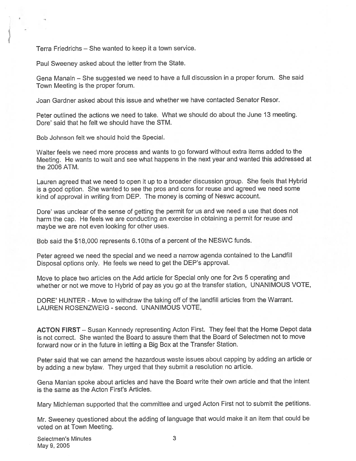Terra Friedrichs — She wanted to keep it <sup>a</sup> town service.

Paul Sweeney asked about the letter from the State.

Gena Manaln — She suggested we need to have <sup>a</sup> full discussion in <sup>a</sup> proper forum. She said Town Meeting is the proper forum.

Joan Gardner asked about this issue and whether we have contacted Senator Resor.

Peter outlined the actions we need to take. What we should do about the June 13 meeting. Dore' said that he felt we should have the STM.

Bob Johnson felt we should hold the Special.

Walter feels we need more process and wants to go forward without extra items added to the Meeting. He wants to wait and see what happens in the next year and wanted this addressed at the 2006 ATM.

Lauren agree<sup>d</sup> that we need to open it up to <sup>a</sup> broader discussion group. She feels that Hybrid is <sup>a</sup> goo<sup>d</sup> option. She wanted to see the pros and cons for reuse and agree<sup>d</sup> we need some kind of approva<sup>l</sup> in writing from DEP. The money is coming of Neswc account.

Dore' was unclear of the sense of getting the permit for us and we need <sup>a</sup> use that does not harm the cap. He feels we are conducting an exercise in obtaining <sup>a</sup> permit for reuse and maybe we are not even looking for other uses.

Bob said the \$18,000 represents 6.10ths of a percent of the NESWC funds.

Peter agree<sup>d</sup> we need the special and we need <sup>a</sup> narrow agenda contained to the Landfill Disposal options only. He feels we need to ge<sup>t</sup> the DEP's approval.

Move to <sup>p</sup>lace two articles on the Add article for Special only one for 2vs <sup>5</sup> operating and whether or not we move to Hybrid of pay as you go at the transfer station, UNANIMOUS VOTE,

DORE' HUNTER - Move to withdraw the taking off of the landfill articles from the Warrant. LAUREN ROSENZWEIG - second. UNANIMOUS VOTE,

ACTON FIRST — Susan Kennedy representing Acton First. They feel that the Home Depot data is not correct. She wanted the Board to assure them that the Board of Selectmen not to move forward now or in the future in letting <sup>a</sup> Big Box at the Transfer Station.

Peter said that we can amend the hazardous waste issues about capping by adding an article or by adding <sup>a</sup> new bylaw. They urge<sup>d</sup> that they submit <sup>a</sup> resolution no article.

Gena Manlan spoke about articles and have the Board write their own article and that the intent is the same as the Acton First's Articles.

Mary Michleman supported that the committee and urge<sup>d</sup> Acton First not to submit the petitions.

Mr. Sweeney questioned about the adding of language that would make it an item that could be voted on at Town Meeting.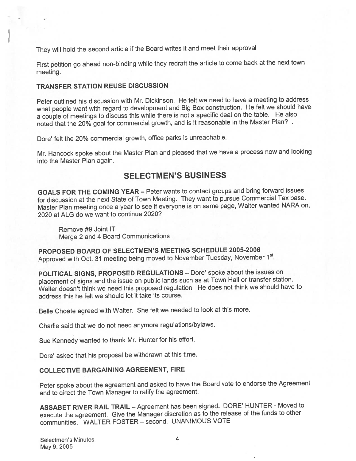They will hold the second article if the Board writes it and meet their approva<sup>l</sup>

First petition go ahead non-binding while they redraft the article to come back at the next town meeting.

#### TRANSFER STATION REUSE DISCUSSION

Peter outlined his discussion with Mr. Dickinson. He felt we need to have <sup>a</sup> meeting to address what people want with regar<sup>d</sup> to development and Big Box construction. He felt we should have <sup>a</sup> couple of meetings to discuss this while there is not <sup>a</sup> specific deal on the table. He also noted that the 20% goa<sup>l</sup> for commercial growth, and is it reasonable in the Master Plan?

Dore' felt the 20% commercial growth, office parks is unreachable.

Mr. Hancock spoke about the Master Plan and <sup>p</sup>leased that we have <sup>a</sup> process now and looking into the Master Plan again.

### SELECTMEN'S BUSINESS

GOALS FOR THE COMING YEAR — Peter wants to contact groups and bring forward issues for discussion at the next State of Town Meeting. They want to pursue Commercial Tax base. Master Plan meeting once <sup>a</sup> year to see if everyone is on same page, Walter wanted NARA on, 2020 at ALG do we want to continue 2020?

Remove #9 Joint IT Merge <sup>2</sup> and <sup>4</sup> Board Communications

PROPOSED BOARD OF SELECTMEN'S MEETING SCHEDULE 2005-2006 Approved with Oct. 31 meeting being moved to November Tuesday, November 1st.

POLITICAL SIGNS, PROPOSED REGULATIONS — Dore' spoke about the issues on <sup>p</sup>lacement of signs and the issue on public lands such as at Town Hall or transfer station. Walter doesn't think we need this propose<sup>d</sup> regulation. He does not think we should have to address this he felt we should let it take its course.

Belle Choate agree<sup>d</sup> with Walter. She felt we needed to look at this more.

Charlie said that we do not need anymore regulations/bylaws.

Sue Kennedy wanted to thank Mr. Hunter for his effort.

Dore' asked that his proposa<sup>l</sup> be withdrawn at this time.

#### COLLECTIVE BARGAINING AGREEMENT, FIRE

Peter spoke about the agreemen<sup>t</sup> and asked to have the Board vote to endorse the Agreement and to direct the Town Manager to ratify the agreement.

ASSABET RIVER RAIL TRAIL — Agreement has been signed. DORE' HUNTER - Moved to execute the agreement. Give the Manager discretion as to the release of the funds to other communities. WALTER FOSTER — second. UNANIMOUS VOTE